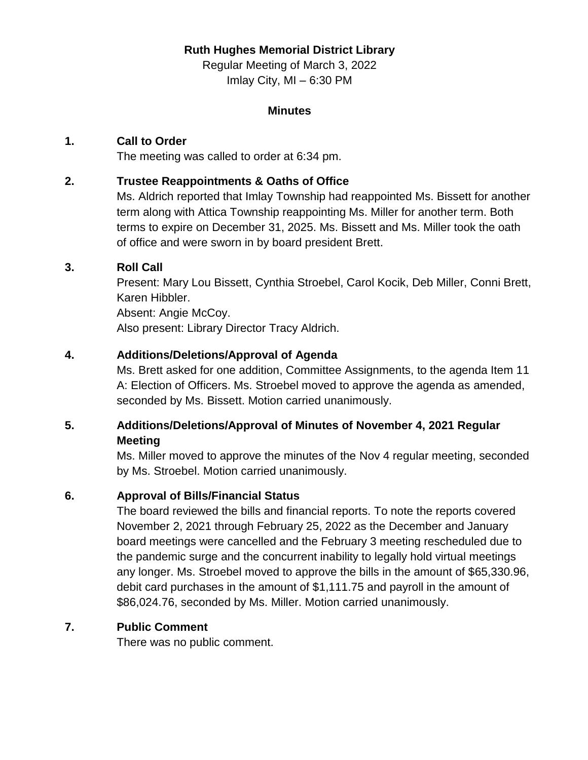### **Ruth Hughes Memorial District Library**

Regular Meeting of March 3, 2022 Imlay City, MI – 6:30 PM

#### **Minutes**

### **1. Call to Order**

The meeting was called to order at 6:34 pm.

## **2. Trustee Reappointments & Oaths of Office**

Ms. Aldrich reported that Imlay Township had reappointed Ms. Bissett for another term along with Attica Township reappointing Ms. Miller for another term. Both terms to expire on December 31, 2025. Ms. Bissett and Ms. Miller took the oath of office and were sworn in by board president Brett.

## **3. Roll Call**

Present: Mary Lou Bissett, Cynthia Stroebel, Carol Kocik, Deb Miller, Conni Brett, Karen Hibbler.

Absent: Angie McCoy.

Also present: Library Director Tracy Aldrich.

## **4. Additions/Deletions/Approval of Agenda**

Ms. Brett asked for one addition, Committee Assignments, to the agenda Item 11 A: Election of Officers. Ms. Stroebel moved to approve the agenda as amended, seconded by Ms. Bissett. Motion carried unanimously.

# **5. Additions/Deletions/Approval of Minutes of November 4, 2021 Regular Meeting**

Ms. Miller moved to approve the minutes of the Nov 4 regular meeting, seconded by Ms. Stroebel. Motion carried unanimously.

### **6. Approval of Bills/Financial Status**

The board reviewed the bills and financial reports. To note the reports covered November 2, 2021 through February 25, 2022 as the December and January board meetings were cancelled and the February 3 meeting rescheduled due to the pandemic surge and the concurrent inability to legally hold virtual meetings any longer. Ms. Stroebel moved to approve the bills in the amount of \$65,330.96, debit card purchases in the amount of \$1,111.75 and payroll in the amount of \$86,024.76, seconded by Ms. Miller. Motion carried unanimously.

### **7. Public Comment**

There was no public comment.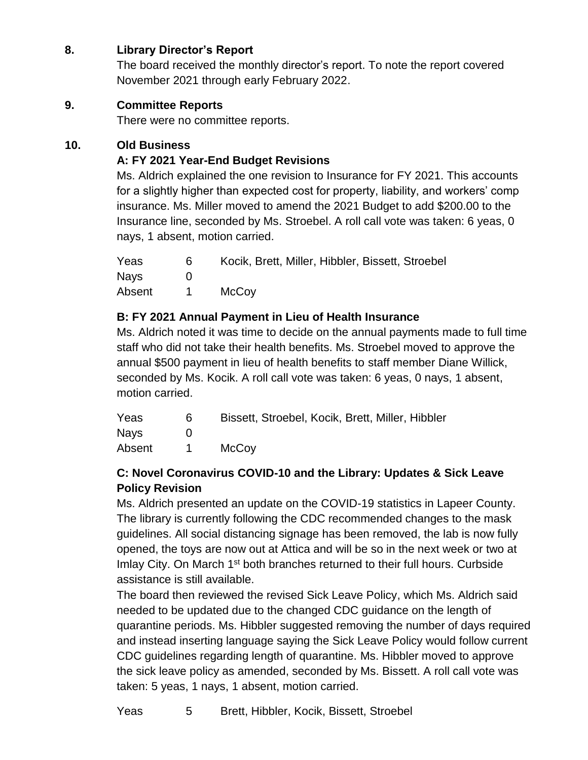# **8. Library Director's Report**

The board received the monthly director's report. To note the report covered November 2021 through early February 2022.

### **9. Committee Reports**

There were no committee reports.

### **10. Old Business**

## **A: FY 2021 Year-End Budget Revisions**

Ms. Aldrich explained the one revision to Insurance for FY 2021. This accounts for a slightly higher than expected cost for property, liability, and workers' comp insurance. Ms. Miller moved to amend the 2021 Budget to add \$200.00 to the Insurance line, seconded by Ms. Stroebel. A roll call vote was taken: 6 yeas, 0 nays, 1 absent, motion carried.

| Yeas   | 6 | Kocik, Brett, Miller, Hibbler, Bissett, Stroebel |
|--------|---|--------------------------------------------------|
| Nays   |   |                                                  |
| Absent |   | <b>McCoy</b>                                     |

### **B: FY 2021 Annual Payment in Lieu of Health Insurance**

Ms. Aldrich noted it was time to decide on the annual payments made to full time staff who did not take their health benefits. Ms. Stroebel moved to approve the annual \$500 payment in lieu of health benefits to staff member Diane Willick, seconded by Ms. Kocik. A roll call vote was taken: 6 yeas, 0 nays, 1 absent, motion carried.

| Yeas        | 6 | Bissett, Stroebel, Kocik, Brett, Miller, Hibbler |
|-------------|---|--------------------------------------------------|
| <b>Navs</b> |   |                                                  |
| Absent      |   | <b>McCoy</b>                                     |

# **C: Novel Coronavirus COVID-10 and the Library: Updates & Sick Leave Policy Revision**

Ms. Aldrich presented an update on the COVID-19 statistics in Lapeer County. The library is currently following the CDC recommended changes to the mask guidelines. All social distancing signage has been removed, the lab is now fully opened, the toys are now out at Attica and will be so in the next week or two at Imlay City. On March 1<sup>st</sup> both branches returned to their full hours. Curbside assistance is still available.

The board then reviewed the revised Sick Leave Policy, which Ms. Aldrich said needed to be updated due to the changed CDC guidance on the length of quarantine periods. Ms. Hibbler suggested removing the number of days required and instead inserting language saying the Sick Leave Policy would follow current CDC guidelines regarding length of quarantine. Ms. Hibbler moved to approve the sick leave policy as amended, seconded by Ms. Bissett. A roll call vote was taken: 5 yeas, 1 nays, 1 absent, motion carried.